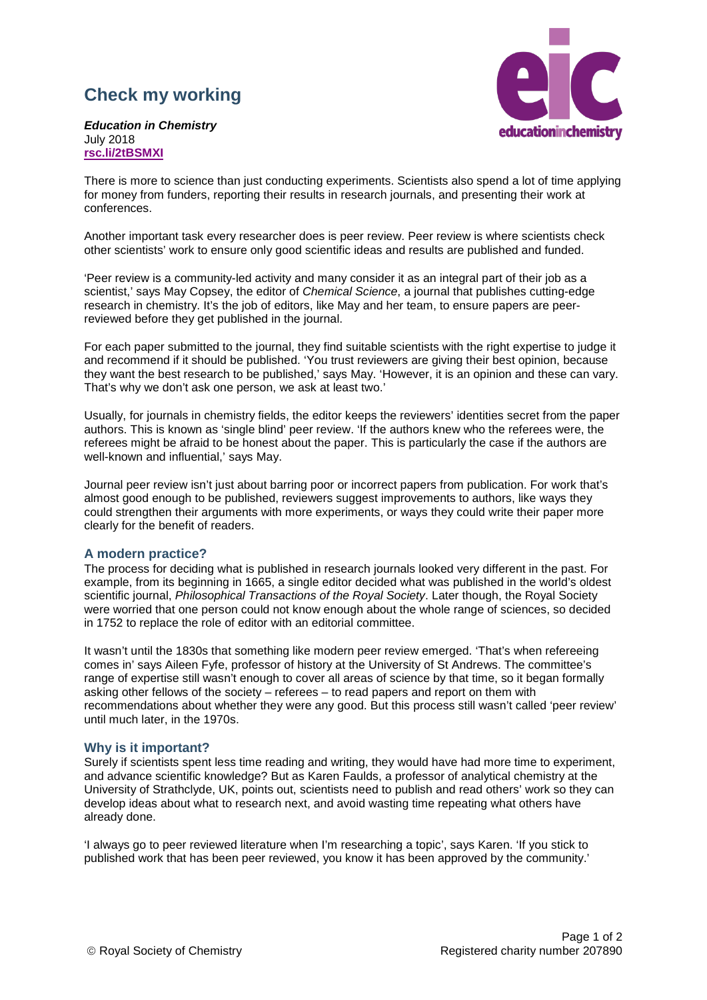# **Check my working**

educationinchemistry

*Education in Chemistry* July 2018 **[rsc.li/2tBSMXI](https://rsc.li/2tBSMXI)**

There is more to science than just conducting experiments. Scientists also spend a lot of time applying for money from funders, reporting their results in research journals, and presenting their work at conferences.

Another important task every researcher does is peer review. Peer review is where scientists check other scientists' work to ensure only good scientific ideas and results are published and funded.

'Peer review is a community-led activity and many consider it as an integral part of their job as a scientist,' says May Copsey, the editor of *Chemical Science*, a journal that publishes cutting-edge research in chemistry. It's the job of editors, like May and her team, to ensure papers are peerreviewed before they get published in the journal.

For each paper submitted to the journal, they find suitable scientists with the right expertise to judge it and recommend if it should be published. 'You trust reviewers are giving their best opinion, because they want the best research to be published,' says May. 'However, it is an opinion and these can vary. That's why we don't ask one person, we ask at least two.'

Usually, for journals in chemistry fields, the editor keeps the reviewers' identities secret from the paper authors. This is known as 'single blind' peer review. 'If the authors knew who the referees were, the referees might be afraid to be honest about the paper. This is particularly the case if the authors are well-known and influential,' says May.

Journal peer review isn't just about barring poor or incorrect papers from publication. For work that's almost good enough to be published, reviewers suggest improvements to authors, like ways they could strengthen their arguments with more experiments, or ways they could write their paper more clearly for the benefit of readers.

## **A modern practice?**

The process for deciding what is published in research journals looked very different in the past. For example, from its beginning in 1665, a single editor decided what was published in the world's oldest scientific journal, *Philosophical Transactions of the Royal Society*. Later though, the Royal Society were worried that one person could not know enough about the whole range of sciences, so decided in 1752 to replace the role of editor with an editorial committee.

It wasn't until the 1830s that something like modern peer review emerged. 'That's when refereeing comes in' says Aileen Fyfe, professor of history at the University of St Andrews. The committee's range of expertise still wasn't enough to cover all areas of science by that time, so it began formally asking other fellows of the society – referees – to read papers and report on them with recommendations about whether they were any good. But this process still wasn't called 'peer review' until much later, in the 1970s.

## **Why is it important?**

Surely if scientists spent less time reading and writing, they would have had more time to experiment, and advance scientific knowledge? But as Karen Faulds, a professor of analytical chemistry at the University of Strathclyde, UK, points out, scientists need to publish and read others' work so they can develop ideas about what to research next, and avoid wasting time repeating what others have already done.

'I always go to peer reviewed literature when I'm researching a topic', says Karen. 'If you stick to published work that has been peer reviewed, you know it has been approved by the community.'